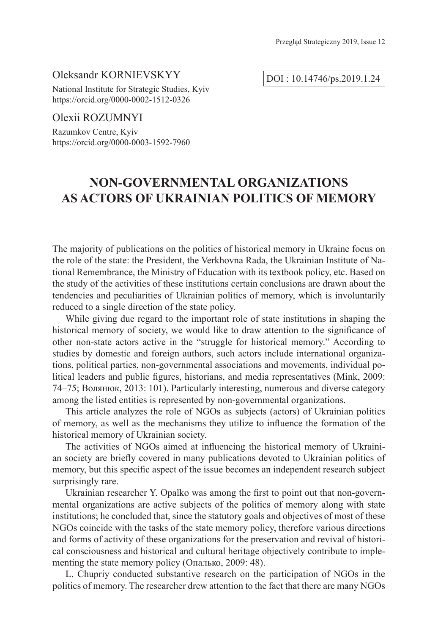### Oleksandr KORNIEVSKYY

National Institute for Strategic Studies, Kyiv https://orcid.org/0000-0002-1512-0326

## Olexii ROZUMNYI

Razumkov Centre, Kyiv https://orcid.org/0000-0003-1592-7960

# **NON-GOVERNMENTAL ORGANIZATIONS AS ACTORS OF UKRAINIAN POLITICS OF MEMORY**

The majority of publications on the politics of historical memory in Ukraine focus on the role of the state: the President, the Verkhovna Rada, the Ukrainian Institute of National Remembrance, the Ministry of Education with its textbook policy, etc. Based on the study of the activities of these institutions certain conclusions are drawn about the tendencies and peculiarities of Ukrainian politics of memory, which is involuntarily reduced to a single direction of the state policy.

While giving due regard to the important role of state institutions in shaping the historical memory of society, we would like to draw attention to the significance of other non-state actors active in the "struggle for historical memory." According to studies by domestic and foreign authors, such actors include international organizations, political parties, non-governmental associations and movements, individual political leaders and public figures, historians, and media representatives (Mink, 2009: 74–75; Волянюк, 2013: 101). Particularly interesting, numerous and diverse category among the listed entities is represented by non-governmental organizations.

This article analyzes the role of NGOs as subjects (actors) of Ukrainian politics of memory, as well as the mechanisms they utilize to influence the formation of the historical memory of Ukrainian society.

The activities of NGOs aimed at influencing the historical memory of Ukrainian society are briefly covered in many publications devoted to Ukrainian politics of memory, but this specific aspect of the issue becomes an independent research subject surprisingly rare.

Ukrainian researcher Y. Opalko was among the first to point out that non-governmental organizations are active subjects of the politics of memory along with state institutions; he concluded that, since the statutory goals and objectives of most of these NGOs coincide with the tasks of the state memory policy, therefore various directions and forms of activity of these organizations for the preservation and revival of historical consciousness and historical and cultural heritage objectively contribute to implementing the state memory policy (Опалько, 2009: 48).

L. Chupriy conducted substantive research on the participation of NGOs in the politics of memory. The researcher drew attention to the fact that there are many NGOs

DOI : 10.14746/ps.2019.1.24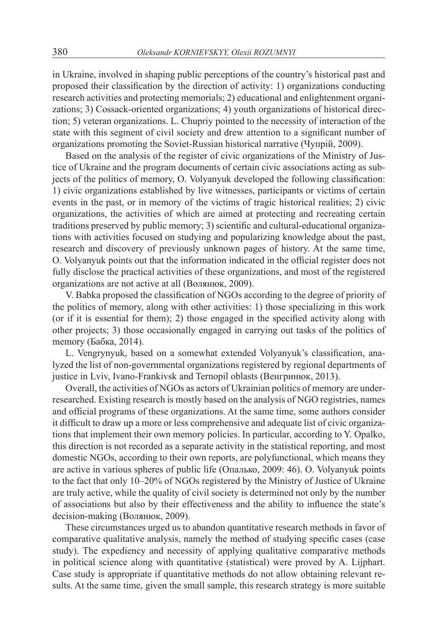in Ukraine, involved in shaping public perceptions of the country's historical past and proposed their classification by the direction of activity: 1) organizations conducting research activities and protecting memorials; 2) educational and enlightenment organizations; 3) Cossack-oriented organizations; 4) youth organizations of historical direction; 5) veteran organizations. L. Chupriy pointed to the necessity of interaction of the state with this segment of civil society and drew attention to a significant number of organizations promoting the Soviet-Russian historical narrative (Чупрій, 2009).

Based on the analysis of the register of civic organizations of the Ministry of Justice of Ukraine and the program documents of certain civic associations acting as subjects of the politics of memory, O. Volyanyuk developed the following classification: 1) civic organizations established by live witnesses, participants or victims of certain events in the past, or in memory of the victims of tragic historical realities; 2) civic organizations, the activities of which are aimed at protecting and recreating certain traditions preserved by public memory; 3) scientific and cultural-educational organizations with activities focused on studying and popularizing knowledge about the past, research and discovery of previously unknown pages of history. At the same time, O. Volyanyuk points out that the information indicated in the official register does not fully disclose the practical activities of these organizations, and most of the registered organizations are not active at all (Волянюк, 2009).

V. Babka proposed the classification of NGOs according to the degree of priority of the politics of memory, along with other activities: 1) those specializing in this work (or if it is essential for them); 2) those engaged in the specified activity along with other projects; 3) those occasionally engaged in carrying out tasks of the politics of memory (Бабка, 2014).

L. Vengrynyuk, based on a somewhat extended Volyanyuk's classification, analyzed the list of non-governmental organizations registered by regional departments of justice in Lviv, Ivano-Frankivsk and Ternopil oblasts (Венгринюк, 2013).

Overall, the activities of NGOs as actors of Ukrainian politics of memory are underresearched. Existing research is mostly based on the analysis of NGO registries, names and official programs of these organizations. At the same time, some authors consider it difficult to draw up a more or less comprehensive and adequate list of civic organizations that implement their own memory policies. In particular, according to Y. Opalko, this direction is not recorded as a separate activity in the statistical reporting, and most domestic NGOs, according to their own reports, are polyfunctional, which means they are active in various spheres of public life (Опалько, 2009: 46). O. Volyanyuk points to the fact that only 10–20% of NGOs registered by the Ministry of Justice of Ukraine are truly active, while the quality of civil society is determined not only by the number of associations but also by their effectiveness and the ability to influence the state's decision-making (Волянюк, 2009).

These circumstances urged us to abandon quantitative research methods in favor of comparative qualitative analysis, namely the method of studying specific cases (case study). The expediency and necessity of applying qualitative comparative methods in political science along with quantitative (statistical) were proved by A. Lijphart. Case study is appropriate if quantitative methods do not allow obtaining relevant results. At the same time, given the small sample, this research strategy is more suitable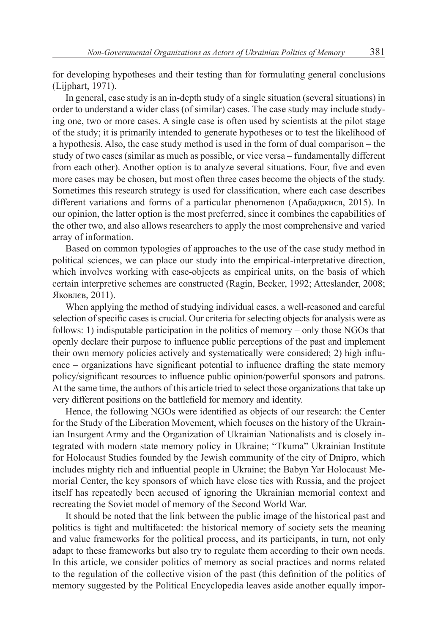for developing hypotheses and their testing than for formulating general conclusions (Lijphart, 1971).

In general, case study is an in-depth study of a single situation (several situations) in order to understand a wider class (of similar) cases. The case study may include studying one, two or more cases. A single case is often used by scientists at the pilot stage of the study; it is primarily intended to generate hypotheses or to test the likelihood of a hypothesis. Also, the case study method is used in the form of dual comparison – the study of two cases (similar as much as possible, or vice versa – fundamentally different from each other). Another option is to analyze several situations. Four, five and even more cases may be chosen, but most often three cases become the objects of the study. Sometimes this research strategy is used for classification, where each case describes different variations and forms of a particular phenomenon (Арабаджиєв, 2015). In our opinion, the latter option is the most preferred, since it combines the capabilities of the other two, and also allows researchers to apply the most comprehensive and varied array of information.

Based on common typologies of approaches to the use of the case study method in political sciences, we can place our study into the empirical-interpretative direction, which involves working with case-objects as empirical units, on the basis of which certain interpretive schemes are constructed (Ragin, Becker, 1992; Atteslander, 2008; Яковлєв, 2011).

When applying the method of studying individual cases, a well-reasoned and careful selection of specific cases is crucial. Our criteria for selecting objects for analysis were as follows: 1) indisputable participation in the politics of memory – only those NGOs that openly declare their purpose to influence public perceptions of the past and implement their own memory policies actively and systematically were considered; 2) high influence – organizations have significant potential to influence drafting the state memory policy/significant resources to influence public opinion/powerful sponsors and patrons. At the same time, the authors of this article tried to select those organizations that take up very different positions on the battlefield for memory and identity.

Hence, the following NGOs were identified as objects of our research: the Center for the Study of the Liberation Movement, which focuses on the history of the Ukrainian Insurgent Army and the Organization of Ukrainian Nationalists and is closely integrated with modern state memory policy in Ukraine; "Tkuma" Ukrainian Institute for Holocaust Studies founded by the Jewish community of the city of Dnipro, which includes mighty rich and influential people in Ukraine; the Babyn Yar Holocaust Memorial Center, the key sponsors of which have close ties with Russia, and the project itself has repeatedly been accused of ignoring the Ukrainian memorial context and recreating the Soviet model of memory of the Second World War.

It should be noted that the link between the public image of the historical past and politics is tight and multifaceted: the historical memory of society sets the meaning and value frameworks for the political process, and its participants, in turn, not only adapt to these frameworks but also try to regulate them according to their own needs. In this article, we consider politics of memory as social practices and norms related to the regulation of the collective vision of the past (this definition of the politics of memory suggested by the Political Encyclopedia leaves aside another equally impor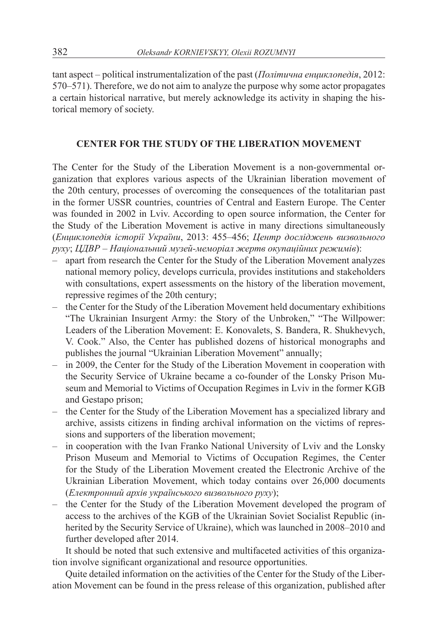tant aspect – political instrumentalization of the past (*Політична енциклопедія*, 2012: 570–571). Therefore, we do not aim to analyze the purpose why some actor propagates a certain historical narrative, but merely acknowledge its activity in shaping the historical memory of society.

## **CENTER FOR THE STUDY OF THE LIBERATION MOVEMENT**

The Center for the Study of the Liberation Movement is a non-governmental organization that explores various aspects of the Ukrainian liberation movement of the 20th century, processes of overcoming the consequences of the totalitarian past in the former USSR countries, countries of Central and Eastern Europe. The Center was founded in 2002 in Lviv. According to open source information, the Center for the Study of the Liberation Movement is active in many directions simultaneously (*Енциклопедія історії України*, 2013: 455–456; *Центр досліджень визвольного руху*; *ЦДВР* – *Національний музей-меморіал жертв окупаційних режимів*):

- apart from research the Center for the Study of the Liberation Movement analyzes national memory policy, develops curricula, provides institutions and stakeholders with consultations, expert assessments on the history of the liberation movement, repressive regimes of the 20th century;
- the Center for the Study of the Liberation Movement held documentary exhibitions "The Ukrainian Insurgent Army: the Story of the Unbroken," "The Willpower: Leaders of the Liberation Movement: E. Konovalets, S. Bandera, R. Shukhevych, V. Cook." Also, the Center has published dozens of historical monographs and publishes the journal "Ukrainian Liberation Movement" annually;
- in 2009, the Center for the Study of the Liberation Movement in cooperation with the Security Service of Ukraine became a co-founder of the Lonsky Prison Museum and Memorial to Victims of Occupation Regimes in Lviv in the former KGB and Gestapo prison;
- the Center for the Study of the Liberation Movement has a specialized library and archive, assists citizens in finding archival information on the victims of repressions and supporters of the liberation movement;
- in cooperation with the Ivan Franko National University of Lviv and the Lonsky Prison Museum and Memorial to Victims of Occupation Regimes, the Center for the Study of the Liberation Movement created the Electronic Archive of the Ukrainian Liberation Movement, which today contains over 26,000 documents (*Електронний архів українського визвольного руху*);
- the Center for the Study of the Liberation Movement developed the program of access to the archives of the KGB of the Ukrainian Soviet Socialist Republic (inherited by the Security Service of Ukraine), which was launched in 2008–2010 and further developed after 2014.

It should be noted that such extensive and multifaceted activities of this organization involve significant organizational and resource opportunities.

Quite detailed information on the activities of the Center for the Study of the Liberation Movement can be found in the press release of this organization, published after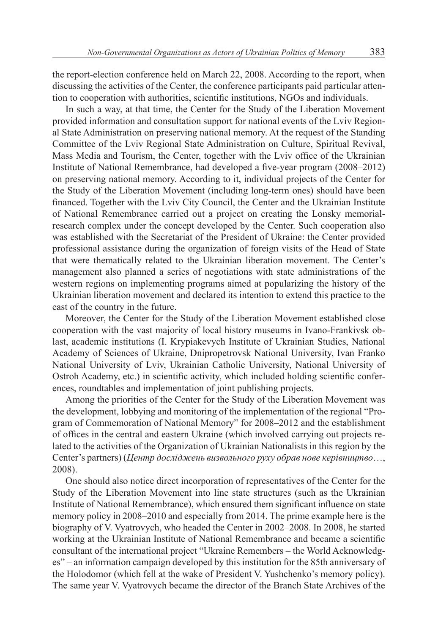the report-election conference held on March 22, 2008. According to the report, when discussing the activities of the Center, the conference participants paid particular attention to cooperation with authorities, scientific institutions, NGOs and individuals.

In such a way, at that time, the Center for the Study of the Liberation Movement provided information and consultation support for national events of the Lviv Regional State Administration on preserving national memory. At the request of the Standing Committee of the Lviv Regional State Administration on Culture, Spiritual Revival, Mass Media and Tourism, the Center, together with the Lviv office of the Ukrainian Institute of National Remembrance, had developed a five-year program (2008–2012) on preserving national memory. According to it, individual projects of the Center for the Study of the Liberation Movement (including long-term ones) should have been financed. Together with the Lviv City Council, the Center and the Ukrainian Institute of National Remembrance carried out a project on creating the Lonsky memorialresearch complex under the concept developed by the Center. Such cooperation also was established with the Secretariat of the President of Ukraine: the Center provided professional assistance during the organization of foreign visits of the Head of State that were thematically related to the Ukrainian liberation movement. The Center's management also planned a series of negotiations with state administrations of the western regions on implementing programs aimed at popularizing the history of the Ukrainian liberation movement and declared its intention to extend this practice to the east of the country in the future.

Moreover, the Center for the Study of the Liberation Movement established close cooperation with the vast majority of local history museums in Ivano-Frankivsk oblast, academic institutions (I. Krypiakevych Institute of Ukrainian Studies, National Academy of Sciences of Ukraine, Dnipropetrovsk National University, Ivan Franko National University of Lviv, Ukrainian Catholic University, National University of Ostroh Academy, etc.) in scientific activity, which included holding scientific conferences, roundtables and implementation of joint publishing projects.

Among the priorities of the Center for the Study of the Liberation Movement was the development, lobbying and monitoring of the implementation of the regional "Program of Commemoration of National Memory" for 2008–2012 and the establishment of offices in the central and eastern Ukraine (which involved carrying out projects related to the activities of the Organization of Ukrainian Nationalists in this region by the Center's partners) (*Центр досліджень визвольного руху обрав нове керівництво*…, 2008).

One should also notice direct incorporation of representatives of the Center for the Study of the Liberation Movement into line state structures (such as the Ukrainian Institute of National Remembrance), which ensured them significant influence on state memory policy in 2008–2010 and especially from 2014. The prime example here is the biography of V. Vyatrovych, who headed the Center in 2002–2008. In 2008, he started working at the Ukrainian Institute of National Remembrance and became a scientific consultant of the international project "Ukraine Remembers – the World Acknowledges" – an information campaign developed by this institution for the 85th anniversary of the Holodomor (which fell at the wake of President V. Yushchenko's memory policy). The same year V. Vyatrovych became the director of the Branch State Archives of the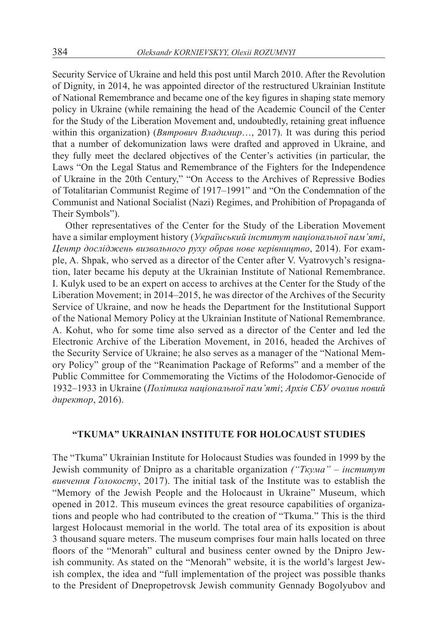Security Service of Ukraine and held this post until March 2010. After the Revolution of Dignity, in 2014, he was appointed director of the restructured Ukrainian Institute of National Remembrance and became one of the key figures in shaping state memory policy in Ukraine (while remaining the head of the Academic Council of the Center for the Study of the Liberation Movement and, undoubtedly, retaining great influence within this organization) (*Вятрович Владимир*…, 2017). It was during this period that a number of dekomunization laws were drafted and approved in Ukraine, and they fully meet the declared objectives of the Center's activities (in particular, the Laws "On the Legal Status and Remembrance of the Fighters for the Independence of Ukraine in the 20th Century," "On Access to the Archives of Repressive Bodies of Totalitarian Communist Regime of 1917–1991" and "On the Condemnation of the Communist and National Socialist (Nazi) Regimes, and Prohibition of Propaganda of Their Symbols").

Other representatives of the Center for the Study of the Liberation Movement have a similar employment history (*Український інститут національної пам'яті*, *Центр досліджень визвольного руху обрав нове керівництво*, 2014). For example, A. Shpak, who served as a director of the Center after V. Vyatrovych's resignation, later became his deputy at the Ukrainian Institute of National Remembrance. I. Kulyk used to be an expert on access to archives at the Center for the Study of the Liberation Movement; in 2014–2015, he was director of the Archives of the Security Service of Ukraine, and now he heads the Department for the Institutional Support of the National Memory Policy at the Ukrainian Institute of National Remembrance. A. Kohut, who for some time also served as a director of the Center and led the Electronic Archive of the Liberation Movement, in 2016, headed the Archives of the Security Service of Ukraine; he also serves as a manager of the "National Memory Policy" group of the "Reanimation Package of Reforms" and a member of the Public Committee for Commemorating the Victims of the Holodomor-Genocide of 1932–1933 in Ukraine (*Політика національної пам'яті*; *Архів СБУ очолив новий директор*, 2016).

### **"TKUMA" UKRAINIAN INSTITUTE FOR HOLOCAUST STUDIES**

The "Tkuma" Ukrainian Institute for Holocaust Studies was founded in 1999 by the Jewish community of Dnipro as a charitable organization *("Ткума" – інститут вивчення Голокосту*, 2017). The initial task of the Institute was to establish the "Memory of the Jewish People and the Holocaust in Ukraine" Museum, which opened in 2012. This museum evinces the great resource capabilities of organizations and people who had contributed to the creation of "Tkuma." This is the third largest Holocaust memorial in the world. The total area of its exposition is about 3 thousand square meters. The museum comprises four main halls located on three floors of the "Menorah" cultural and business center owned by the Dnipro Jewish community. As stated on the "Menorah" website, it is the world's largest Jewish complex, the idea and "full implementation of the project was possible thanks to the President of Dnepropetrovsk Jewish community Gennady Bogolyubov and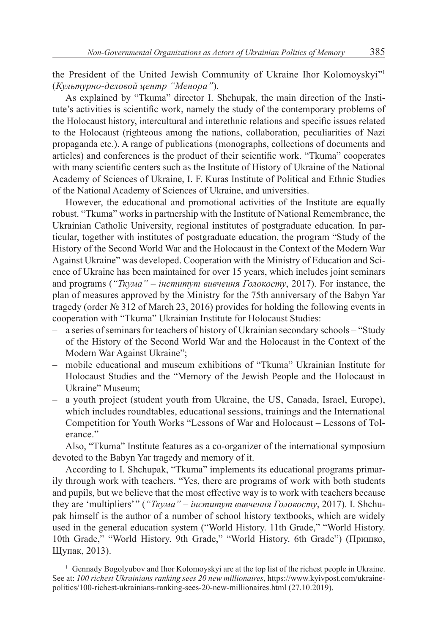the President of the United Jewish Community of Ukraine Ihor Kolomoyskyi"<sup>1</sup> (*Культурно-деловой центр "Менора"*).

As explained by "Tkuma" director I. Shchupak, the main direction of the Institute's activities is scientific work, namely the study of the contemporary problems of the Holocaust history, intercultural and interethnic relations and specific issues related to the Holocaust (righteous among the nations, collaboration, peculiarities of Nazi propaganda etc.). A range of publications (monographs, collections of documents and articles) and conferences is the product of their scientific work. "Tkuma" cooperates with many scientific centers such as the Institute of History of Ukraine of the National Academy of Sciences of Ukraine, I. F. Kuras Institute of Political and Ethnic Studies of the National Academy of Sciences of Ukraine, and universities.

However, the educational and promotional activities of the Institute are equally robust. "Tkuma" works in partnership with the Institute of National Remembrance, the Ukrainian Catholic University, regional institutes of postgraduate education. In particular, together with institutes of postgraduate education, the program "Study of the History of the Second World War and the Holocaust in the Context of the Modern War Against Ukraine" was developed. Cooperation with the Ministry of Education and Science of Ukraine has been maintained for over 15 years, which includes joint seminars and programs (*"Ткума" – інститут вивчення Голокосту*, 2017). For instance, the plan of measures approved by the Ministry for the 75th anniversary of the Babyn Yar tragedy (order  $\mathbb{N}_2$  312 of March 23, 2016) provides for holding the following events in cooperation with "Tkuma" Ukrainian Institute for Holocaust Studies:

- a series of seminars for teachers of history of Ukrainian secondary schools "Study of the History of the Second World War and the Holocaust in the Context of the Modern War Against Ukraine";
- mobile educational and museum exhibitions of "Tkuma" Ukrainian Institute for Holocaust Studies and the "Memory of the Jewish People and the Holocaust in Ukraine" Museum;
- a youth project (student youth from Ukraine, the US, Canada, Israel, Europe), which includes roundtables, educational sessions, trainings and the International Competition for Youth Works "Lessons of War and Holocaust – Lessons of Tolerance."

Also, "Tkuma" Institute features as a co-organizer of the international symposium devoted to the Babyn Yar tragedy and memory of it.

According to I. Shchupak, "Tkuma" implements its educational programs primarily through work with teachers. "Yes, there are programs of work with both students and pupils, but we believe that the most effective way is to work with teachers because they are 'multipliers' " (*"Ткума" – інститут вивчення Голокосту*, 2017). I. Shchupak himself is the author of a number of school history textbooks, which are widely used in the general education system ("World History. 11th Grade," "World History. 10th Grade," "World History. 9th Grade," "World History. 6th Grade") (Пришко, Щупак, 2013).

<sup>1</sup> Gennady Bogolyubov and Ihor Kolomoyskyi are at the top list of the richest people in Ukraine. See at: *100 richest Ukrainians ranking sees 20 new millionaires*, https://www.kyivpost.com/ukrainepolitics/100-richest-ukrainians-ranking-sees-20-new-millionaires.html (27.10.2019).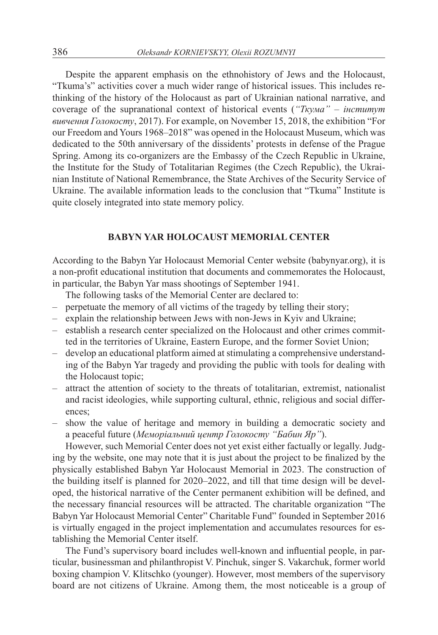Despite the apparent emphasis on the ethnohistory of Jews and the Holocaust, "Tkuma's" activities cover a much wider range of historical issues. This includes rethinking of the history of the Holocaust as part of Ukrainian national narrative, and coverage of the supranational context of historical events (*"Ткума" – інститут вивчення Голокосту*, 2017). For example, on November 15, 2018, the exhibition "For our Freedom and Yours 1968–2018" was opened in the Holocaust Museum, which was dedicated to the 50th anniversary of the dissidents' protests in defense of the Prague Spring. Among its co-organizers are the Embassy of the Czech Republic in Ukraine, the Institute for the Study of Totalitarian Regimes (the Czech Republic), the Ukrainian Institute of National Remembrance, the State Archives of the Security Service of Ukraine. The available information leads to the conclusion that "Tkuma" Institute is quite closely integrated into state memory policy.

### **BABYN YAR HOLOCAUST MEMORIAL CENTER**

According to the Babyn Yar Holocaust Memorial Center website (babynyar.org), it is a non-profit educational institution that documents and commemorates the Holocaust, in particular, the Babyn Yar mass shootings of September 1941.

The following tasks of the Memorial Center are declared to:

- perpetuate the memory of all victims of the tragedy by telling their story;
- explain the relationship between Jews with non-Jews in Kyiv and Ukraine;
- establish a research center specialized on the Holocaust and other crimes committed in the territories of Ukraine, Eastern Europe, and the former Soviet Union;
- develop an educational platform aimed at stimulating a comprehensive understanding of the Babyn Yar tragedy and providing the public with tools for dealing with the Holocaust topic;
- attract the attention of society to the threats of totalitarian, extremist, nationalist and racist ideologies, while supporting cultural, ethnic, religious and social differences;
- show the value of heritage and memory in building a democratic society and a peaceful future (*Меморіальний центр Голокосту "Бабин Яр"*).

However, such Memorial Center does not yet exist either factually or legally. Judging by the website, one may note that it is just about the project to be finalized by the physically established Babyn Yar Holocaust Memorial in 2023. The construction of the building itself is planned for 2020–2022, and till that time design will be developed, the historical narrative of the Center permanent exhibition will be defined, and the necessary financial resources will be attracted. The charitable organization "The Babyn Yar Holocaust Memorial Center" Charitable Fund" founded in September 2016 is virtually engaged in the project implementation and accumulates resources for establishing the Memorial Center itself.

The Fund's supervisory board includes well-known and influential people, in particular, businessman and philanthropist V. Pinchuk, singer S. Vakarchuk, former world boxing champion V. Klitschko (younger). However, most members of the supervisory board are not citizens of Ukraine. Among them, the most noticeable is a group of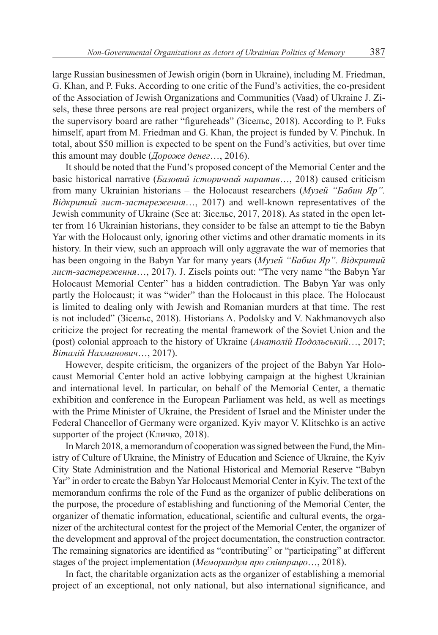large Russian businessmen of Jewish origin (born in Ukraine), including M. Friedman, G. Khan, and P. Fuks. According to one critic of the Fund's activities, the co-president of the Association of Jewish Organizations and Communities (Vaad) of Ukraine J. Zisels, these three persons are real project organizers, while the rest of the members of the supervisory board are rather "figureheads" (Зісельс, 2018). According to P. Fuks himself, apart from M. Friedman and G. Khan, the project is funded by V. Pinchuk. In total, about \$50 million is expected to be spent on the Fund's activities, but over time this amount may double (*Дороже денег*…, 2016).

It should be noted that the Fund's proposed concept of the Memorial Center and the basic historical narrative (*Базовий історичний наратив*…, 2018) caused criticism from many Ukrainian historians – the Holocaust researchers (*Музей "Бабин Яр". Відкритий лист-застереження*…, 2017) and well-known representatives of the Jewish community of Ukraine (See at: Зісельс, 2017, 2018). As stated in the open letter from 16 Ukrainian historians, they consider to be false an attempt to tie the Babyn Yar with the Holocaust only, ignoring other victims and other dramatic moments in its history. In their view, such an approach will only aggravate the war of memories that has been ongoing in the Babyn Yar for many years (*Музей "Бабин Яр". Відкритий лист-застереження*…, 2017). J. Zisels points out: "The very name "the Babyn Yar Holocaust Memorial Center" has a hidden contradiction. The Babyn Yar was only partly the Holocaust; it was "wider" than the Holocaust in this place. The Holocaust is limited to dealing only with Jewish and Romanian murders at that time. The rest is not included" (Зісельс, 2018). Historians A. Podolsky and V. Nakhmanovych also criticize the project for recreating the mental framework of the Soviet Union and the (post) colonial approach to the history of Ukraine (*Анатолій Подольський*…, 2017; *Віталій Нахманович*…, 2017).

However, despite criticism, the organizers of the project of the Babyn Yar Holocaust Memorial Center hold an active lobbying campaign at the highest Ukrainian and international level. In particular, on behalf of the Memorial Center, a thematic exhibition and conference in the European Parliament was held, as well as meetings with the Prime Minister of Ukraine, the President of Israel and the Minister under the Federal Chancellor of Germany were organized. Kyiv mayor V. Klitschko is an active supporter of the project (Кличко, 2018).

In March 2018, a memorandum of cooperation was signed between the Fund, the Ministry of Culture of Ukraine, the Ministry of Education and Science of Ukraine, the Kyiv City State Administration and the National Historical and Memorial Reserve "Babyn Yar" in order to create the Babyn Yar Holocaust Memorial Center in Kyiv. The text of the memorandum confirms the role of the Fund as the organizer of public deliberations on the purpose, the procedure of establishing and functioning of the Memorial Center, the organizer of thematic information, educational, scientific and cultural events, the organizer of the architectural contest for the project of the Memorial Center, the organizer of the development and approval of the project documentation, the construction contractor. The remaining signatories are identified as "contributing" or "participating" at different stages of the project implementation (*Меморандум про співпрацю*…, 2018).

In fact, the charitable organization acts as the organizer of establishing a memorial project of an exceptional, not only national, but also international significance, and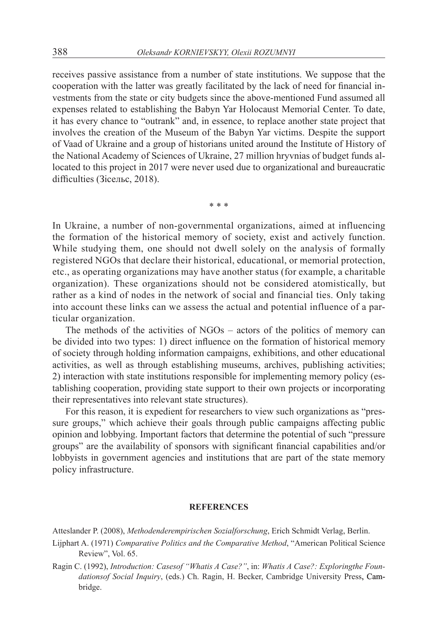receives passive assistance from a number of state institutions. We suppose that the cooperation with the latter was greatly facilitated by the lack of need for financial investments from the state or city budgets since the above-mentioned Fund assumed all expenses related to establishing the Babyn Yar Holocaust Memorial Center. To date, it has every chance to "outrank" and, in essence, to replace another state project that involves the creation of the Museum of the Babyn Yar victims. Despite the support of Vaad of Ukraine and a group of historians united around the Institute of History of the National Academy of Sciences of Ukraine, 27 million hryvnias of budget funds allocated to this project in 2017 were never used due to organizational and bureaucratic difficulties (Зісельс, 2018).

\* \* \*

In Ukraine, a number of non-governmental organizations, aimed at influencing the formation of the historical memory of society, exist and actively function. While studying them, one should not dwell solely on the analysis of formally registered NGOs that declare their historical, educational, or memorial protection, etc., as operating organizations may have another status (for example, a charitable organization). These organizations should not be considered atomistically, but rather as a kind of nodes in the network of social and financial ties. Only taking into account these links can we assess the actual and potential influence of a particular organization.

The methods of the activities of NGOs – actors of the politics of memory can be divided into two types: 1) direct influence on the formation of historical memory of society through holding information campaigns, exhibitions, and other educational activities, as well as through establishing museums, archives, publishing activities; 2) interaction with state institutions responsible for implementing memory policy (establishing cooperation, providing state support to their own projects or incorporating their representatives into relevant state structures).

For this reason, it is expedient for researchers to view such organizations as "pressure groups," which achieve their goals through public campaigns affecting public opinion and lobbying. Important factors that determine the potential of such "pressure groups" are the availability of sponsors with significant financial capabilities and/or lobbyists in government agencies and institutions that are part of the state memory policy infrastructure.

#### **REFERENCES**

Atteslander P. (2008), *Methodenderempirischen Sozialforschung*, Erich Schmidt Verlag, Berlin.

- Lijphart A. (1971) *Comparative Politics and the Comparative Method*, "American Political Science Review", Vol. 65.
- Ragin C. (1992), *Introduction: Casesof "Whatis A Case?"*, in: *Whatis A Case?: Exploringthe Foundationsof Social Inquiry*, (eds.) Ch. Ragin, H. Becker, Cambridge University Press, Cambridge.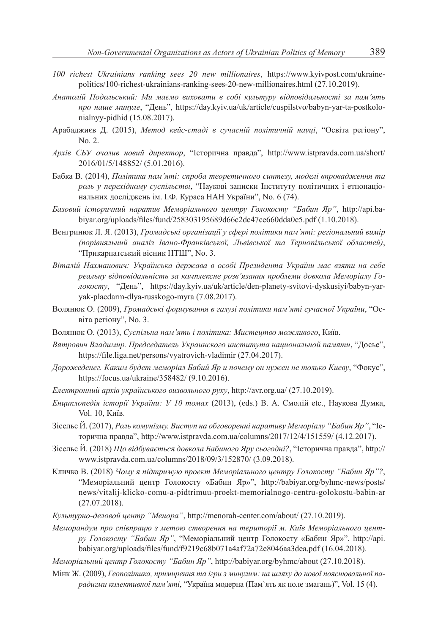- *100 richest Ukrainians ranking sees 20 new millionaires*, https://www.kyivpost.com/ukrainepolitics/100-richest-ukrainians-ranking-sees-20-new-millionaires.html (27.10.2019).
- *Анатолій Подольський: Ми маємо виховати в собі культуру відповідальності за пам'ять про наше минуле*, "День", https://day.kyiv.ua/uk/article/cuspilstvo/babyn-yar-ta-postkolonialnyy-pidhid (15.08.2017).
- Арабаджиєв Д. (2015), *Метод кейс-стаді в сучасній політичній науці*, "Освіта регіону", No. 2.
- *Архів СБУ очолив новий директор*, "Історична правда", http://www.istpravda.com.ua/short/ 2016/01/5/148852/ (5.01.2016).
- Бабка В. (2014), *Політика пам'яті: спроба теоретичного синтезу, моделі впровадження та роль у перехідному суспільстві*, "Наукові записки Інституту політичних і етнонаціональних досліджень ім. І.Ф. Кураса НАН України", No. 6 (74).
- *Базовий історичний наратив Меморіального центру Голокосту "Бабин Яр"*, http://api.babiyar.org/uploads/files/fund/258303195689d66c2dc47ce660dda0e5.pdf (1.10.2018).
- Венгринюк Л. Я. (2013), *Громадські організації у сфері політики пам'яті: регіональний вимір (порівняльний аналіз Івано-Франківської, Львівської та Тернопільської областей)*, "Прикарпатський вісник НТШ", No. 3.
- *Віталій Нахманович: Українська держава в особі Президента України має взяти на себе реальну відповідальність за комплексне розв'язання проблеми довкола Меморіалу Голокосту*, "День", https://day.kyiv.ua/uk/article/den-planety-svitovi-dyskusiyi/babyn-yaryak-placdarm-dlya-russkogo-myra (7.08.2017).
- Волянюк О. (2009), *Громадські формування в галузі політики пам'яті сучасної України*, "Освіта регіону", No. 3.
- Волянюк О. (2013), *Суспільна пам'ять і політика: Мистецтво можливого*, Київ.
- *Вятрович Владимир. Председатель Украинского института национальной памяти*, "Досье", https://file.liga.net/persons/vyatrovich-vladimir (27.04.2017).
- *Дорожеденег. Каким будет меморіал Бабий Яр и почему он нужен не только Киеву*, "Фокус", https://focus.ua/ukraine/358482/ (9.10.2016).
- *Електронний архів українського визвольного руху*, http://avr.org.ua/ (27.10.2019).
- *Енциклопедія історії України: У 10 томах* (2013), (eds.) В. А. Смолій etc., Наукова Думка, Vol. 10, Київ.
- Зісельс Й. (2017), *Роль комунізму. Виступ на обговоренні наративу Меморіалу "Бабин Яр"*, "Історична правда", http://www.istpravda.com.ua/columns/2017/12/4/151559/ (4.12.2017).
- Зісельс Й. (2018) *Що відбувається довкола Бабиного Яру сьогодні?*, "Історична правда", http:// www.istpravda.com.ua/columns/2018/09/3/152870/ (3.09.2018).
- Кличко В. (2018) *Чому я підтримую проект Меморіального центру Голокосту "Бабин Яр"?*, "Меморіальний центр Голокосту «Бабин Яр»", http://babiyar.org/byhmc-news/posts/ news/vitalij-klicko-comu-a-pidtrimuu-proekt-memorialnogo-centru-golokostu-babin-ar (27.07.2018).
- *Культурно-деловой центр "Менора"*, http://menorah-center.com/about/ (27.10.2019).
- *Меморандум про співпрацю з метою створення на території м. Київ Меморіального центру Голокосту "Бабин Яр"*, "Меморіальний центр Голокосту «Бабин Яр»", http://api. babiyar.org/uploads/files/fund/f9219c68b071a4af72a72e8046aa3dea.pdf (16.04.2018).
- *Меморіальний центр Голокосту "Бабин Яр"*, http://babiyar.org/byhmc/about (27.10.2018).
- Мінк Ж. (2009), *Геополітика, примирення та ігри з минулим: на шляху до нової пояснювальної парадигми колективної пам'яті*, "Україна модерна (Пам`ять як поле змагань)", Vol. 15 (4).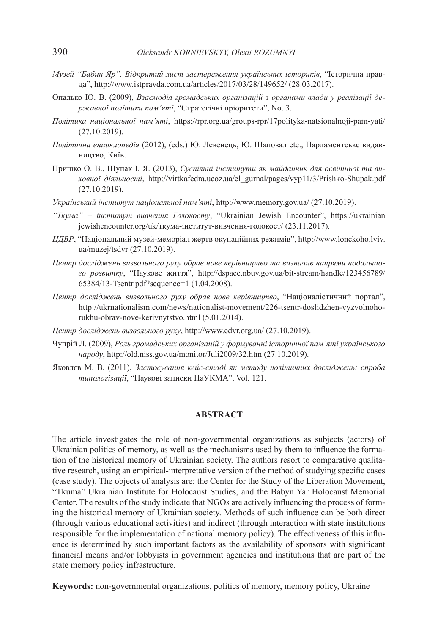- *Музей "Бабин Яр". Відкритий лист-застереження українських істориків*, "Історична правда", http://www.istpravda.com.ua/articles/2017/03/28/149652/ (28.03.2017).
- Опалько Ю. В. (2009), *Взаємодія громадських організацій з органами влади у реалізації державної політики пам'яті*, "Стратегічні пріоритети", No. 3.
- *Політика національної пам'яті*, https://rpr.org.ua/groups-rpr/17polityka-natsionalnoji-pam-yati/ (27.10.2019).
- *Політична енциклопедія* (2012), (eds.) Ю. Левенець, Ю. Шаповал etc., Парламентське видавництво, Київ.
- Пришко О. В., Щупак І. Я. (2013), *Суспільні інститути як майданчик для освітньої та виховної діяльності*, http://virtkafedra.ucoz.ua/el\_gurnal/pages/vyp11/3/Prishko-Shupak.pdf (27.10.2019).
- *Український інститут національної пам'яті*, http://www.memory.gov.ua/ (27.10.2019).
- *"Ткума" інститут вивчення Голокосту*, "Ukrainian Jewish Encounter", https://ukrainian jewishencounter.org/uk/ткума-інститут-вивчення-голокост/ (23.11.2017).
- *ЦДВР*, "Національний музей-меморіал жертв окупаційних режимів", http://www.lonckoho.lviv. ua/muzej/tsdvr (27.10.2019).
- *Центр досліджень визвольного руху обрав нове керівництво та визначив напрями подальшого розвитку*, "Наукове життя", http://dspace.nbuv.gov.ua/bit-stream/handle/123456789/ 65384/13-Tsentr.pdf?sequence=1 (1.04.2008).
- *Центр досліджень визвольного руху обрав нове керівництво*, "Націоналістичний портал", http://ukrnationalism.com/news/nationalist-movement/226-tsentr-doslidzhen-vyzvolnohorukhu-obrav-nove-kerivnytstvo.html (5.01.2014).
- *Центр досліджень визвольного руху*, http://www.cdvr.org.ua/ (27.10.2019).
- Чупрій Л. (2009), *Роль громадських організацій у формуванні історичної пам'яті українського народу*, http://old.niss.gov.ua/monitor/Juli2009/32.htm (27.10.2019).
- Яковлєв М. В. (2011), *Застосування кейс-стаді як методу політичних досліджень: спроба типологізації*, "Наукові записки НаУКМА", Vol. 121.

#### **ABSTRACT**

The article investigates the role of non-governmental organizations as subjects (actors) of Ukrainian politics of memory, as well as the mechanisms used by them to influence the formation of the historical memory of Ukrainian society. The authors resort to comparative qualitative research, using an empirical-interpretative version of the method of studying specific cases (case study). The objects of analysis are: the Center for the Study of the Liberation Movement, "Tkuma" Ukrainian Institute for Holocaust Studies, and the Babyn Yar Holocaust Memorial Center. The results of the study indicate that NGOs are actively influencing the process of forming the historical memory of Ukrainian society. Methods of such influence can be both direct (through various educational activities) and indirect (through interaction with state institutions responsible for the implementation of national memory policy). The effectiveness of this influence is determined by such important factors as the availability of sponsors with significant financial means and/or lobbyists in government agencies and institutions that are part of the state memory policy infrastructure.

**Keywords:** non-governmental organizations, politics of memory, memory policy, Ukraine